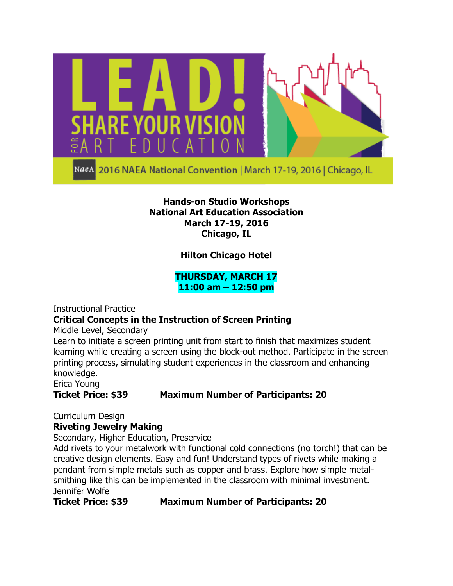

NaeA 2016 NAEA National Convention | March 17-19, 2016 | Chicago, IL

#### **Hands-on Studio Workshops National Art Education Association March 17-19, 2016 Chicago, IL**

**Hilton Chicago Hotel**

**THURSDAY, MARCH 17 11:00 am – 12:50 pm**

Instructional Practice

## **Critical Concepts in the Instruction of Screen Printing**

Middle Level, Secondary

Learn to initiate a screen printing unit from start to finish that maximizes student learning while creating a screen using the block-out method. Participate in the screen printing process, simulating student experiences in the classroom and enhancing knowledge.

Erica Young

## **Ticket Price: \$39 Maximum Number of Participants: 20**

Curriculum Design

## **Riveting Jewelry Making**

Secondary, Higher Education, Preservice

Add rivets to your metalwork with functional cold connections (no torch!) that can be creative design elements. Easy and fun! Understand types of rivets while making a pendant from simple metals such as copper and brass. Explore how simple metalsmithing like this can be implemented in the classroom with minimal investment. Jennifer Wolfe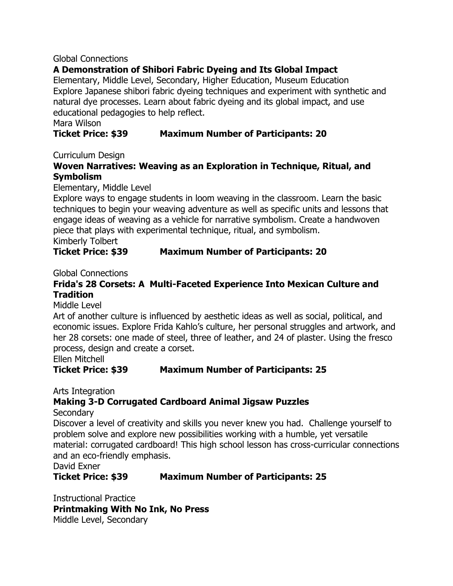#### Global Connections

# **A Demonstration of Shibori Fabric Dyeing and Its Global Impact**

Elementary, Middle Level, Secondary, Higher Education, Museum Education Explore Japanese shibori fabric dyeing techniques and experiment with synthetic and natural dye processes. Learn about fabric dyeing and its global impact, and use educational pedagogies to help reflect.

Mara Wilson

# **Ticket Price: \$39 Maximum Number of Participants: 20**

Curriculum Design

# **Woven Narratives: Weaving as an Exploration in Technique, Ritual, and Symbolism**

Elementary, Middle Level

Explore ways to engage students in loom weaving in the classroom. Learn the basic techniques to begin your weaving adventure as well as specific units and lessons that engage ideas of weaving as a vehicle for narrative symbolism. Create a handwoven piece that plays with experimental technique, ritual, and symbolism. Kimberly Tolbert

**Ticket Price: \$39 Maximum Number of Participants: 20**

Global Connections

# **Frida's 28 Corsets: A Multi-Faceted Experience Into Mexican Culture and Tradition**

Middle Level

Art of another culture is influenced by aesthetic ideas as well as social, political, and economic issues. Explore Frida Kahlo's culture, her personal struggles and artwork, and her 28 corsets: one made of steel, three of leather, and 24 of plaster. Using the fresco process, design and create a corset.

Ellen Mitchell

## **Ticket Price: \$39 Maximum Number of Participants: 25**

Arts Integration

# **Making 3-D Corrugated Cardboard Animal Jigsaw Puzzles**

**Secondary** 

Discover a level of creativity and skills you never knew you had. Challenge yourself to problem solve and explore new possibilities working with a humble, yet versatile material: corrugated cardboard! This high school lesson has cross-curricular connections and an eco-friendly emphasis.

David Exner

## **Ticket Price: \$39 Maximum Number of Participants: 25**

Instructional Practice **Printmaking With No Ink, No Press** Middle Level, Secondary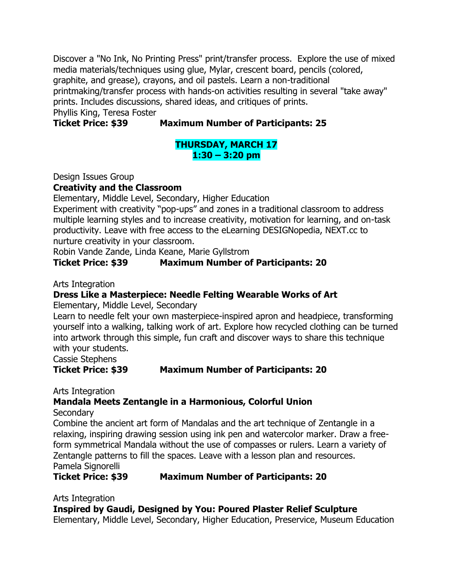Discover a "No Ink, No Printing Press" print/transfer process. Explore the use of mixed media materials/techniques using glue, Mylar, crescent board, pencils (colored, graphite, and grease), crayons, and oil pastels. Learn a non-traditional printmaking/transfer process with hands-on activities resulting in several "take away" prints. Includes discussions, shared ideas, and critiques of prints. Phyllis King, Teresa Foster

**Ticket Price: \$39 Maximum Number of Participants: 25**

# **THURSDAY, MARCH 17 1:30 – 3:20 pm**

Design Issues Group

**Creativity and the Classroom**

Elementary, Middle Level, Secondary, Higher Education

Experiment with creativity "pop-ups" and zones in a traditional classroom to address multiple learning styles and to increase creativity, motivation for learning, and on-task productivity. Leave with free access to the eLearning DESIGNopedia, NEXT.cc to nurture creativity in your classroom.

Robin Vande Zande, Linda Keane, Marie Gyllstrom

# **Ticket Price: \$39 Maximum Number of Participants: 20**

Arts Integration

# **Dress Like a Masterpiece: Needle Felting Wearable Works of Art**

Elementary, Middle Level, Secondary

Learn to needle felt your own masterpiece-inspired apron and headpiece, transforming yourself into a walking, talking work of art. Explore how recycled clothing can be turned into artwork through this simple, fun craft and discover ways to share this technique with your students.

Cassie Stephens

**Ticket Price: \$39 Maximum Number of Participants: 20**

Arts Integration

# **Mandala Meets Zentangle in a Harmonious, Colorful Union**

**Secondary** 

Combine the ancient art form of Mandalas and the art technique of Zentangle in a relaxing, inspiring drawing session using ink pen and watercolor marker. Draw a freeform symmetrical Mandala without the use of compasses or rulers. Learn a variety of Zentangle patterns to fill the spaces. Leave with a lesson plan and resources. Pamela Signorelli

**Ticket Price: \$39 Maximum Number of Participants: 20**

Arts Integration

**Inspired by Gaudi, Designed by You: Poured Plaster Relief Sculpture**

Elementary, Middle Level, Secondary, Higher Education, Preservice, Museum Education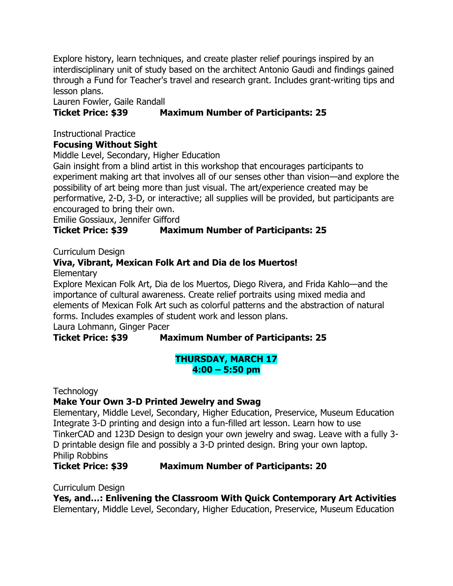Explore history, learn techniques, and create plaster relief pourings inspired by an interdisciplinary unit of study based on the architect Antonio Gaudi and findings gained through a Fund for Teacher's travel and research grant. Includes grant-writing tips and lesson plans.

Lauren Fowler, Gaile Randall

# **Ticket Price: \$39 Maximum Number of Participants: 25**

Instructional Practice

# **Focusing Without Sight**

Middle Level, Secondary, Higher Education

Gain insight from a blind artist in this workshop that encourages participants to experiment making art that involves all of our senses other than vision—and explore the possibility of art being more than just visual. The art/experience created may be performative, 2-D, 3-D, or interactive; all supplies will be provided, but participants are encouraged to bring their own.

Emilie Gossiaux, Jennifer Gifford

# **Ticket Price: \$39 Maximum Number of Participants: 25**

Curriculum Design

# **Viva, Vibrant, Mexican Folk Art and Dia de los Muertos!**

**Elementary** 

Explore Mexican Folk Art, Dia de los Muertos, Diego Rivera, and Frida Kahlo—and the importance of cultural awareness. Create relief portraits using mixed media and elements of Mexican Folk Art such as colorful patterns and the abstraction of natural forms. Includes examples of student work and lesson plans.

Laura Lohmann, Ginger Pacer

# **Ticket Price: \$39 Maximum Number of Participants: 25**

## **THURSDAY, MARCH 17 4:00 – 5:50 pm**

**Technology** 

# **Make Your Own 3-D Printed Jewelry and Swag**

Elementary, Middle Level, Secondary, Higher Education, Preservice, Museum Education Integrate 3-D printing and design into a fun-filled art lesson. Learn how to use TinkerCAD and 123D Design to design your own jewelry and swag. Leave with a fully 3- D printable design file and possibly a 3-D printed design. Bring your own laptop. Philip Robbins

**Ticket Price: \$39 Maximum Number of Participants: 20**

Curriculum Design

**Yes, and…: Enlivening the Classroom With Quick Contemporary Art Activities** Elementary, Middle Level, Secondary, Higher Education, Preservice, Museum Education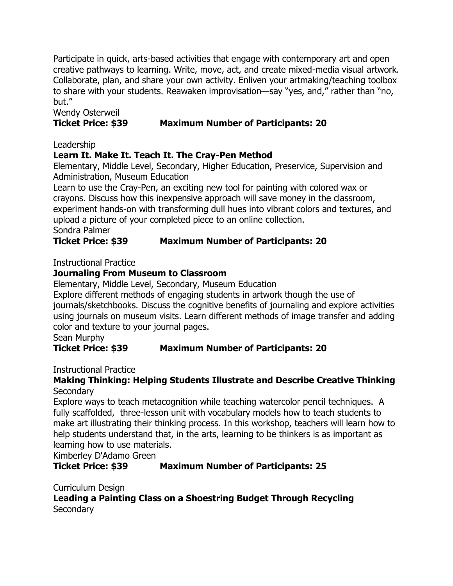Participate in quick, arts-based activities that engage with contemporary art and open creative pathways to learning. Write, move, act, and create mixed-media visual artwork. Collaborate, plan, and share your own activity. Enliven your artmaking/teaching toolbox to share with your students. Reawaken improvisation—say "yes, and," rather than "no, but."

# Wendy Osterweil

# **Ticket Price: \$39 Maximum Number of Participants: 20**

Leadership

# **Learn It. Make It. Teach It. The Cray-Pen Method**

Elementary, Middle Level, Secondary, Higher Education, Preservice, Supervision and Administration, Museum Education

Learn to use the Cray-Pen, an exciting new tool for painting with colored wax or crayons. Discuss how this inexpensive approach will save money in the classroom, experiment hands-on with transforming dull hues into vibrant colors and textures, and upload a picture of your completed piece to an online collection. Sondra Palmer

# **Ticket Price: \$39 Maximum Number of Participants: 20**

Instructional Practice

# **Journaling From Museum to Classroom**

Elementary, Middle Level, Secondary, Museum Education

Explore different methods of engaging students in artwork though the use of journals/sketchbooks. Discuss the cognitive benefits of journaling and explore activities using journals on museum visits. Learn different methods of image transfer and adding color and texture to your journal pages.

Sean Murphy

# **Ticket Price: \$39 Maximum Number of Participants: 20**

Instructional Practice

## **Making Thinking: Helping Students Illustrate and Describe Creative Thinking Secondary**

Explore ways to teach metacognition while teaching watercolor pencil techniques. A fully scaffolded, three-lesson unit with vocabulary models how to teach students to make art illustrating their thinking process. In this workshop, teachers will learn how to help students understand that, in the arts, learning to be thinkers is as important as learning how to use materials.

Kimberley D'Adamo Green

# **Ticket Price: \$39 Maximum Number of Participants: 25**

Curriculum Design

**Leading a Painting Class on a Shoestring Budget Through Recycling Secondary**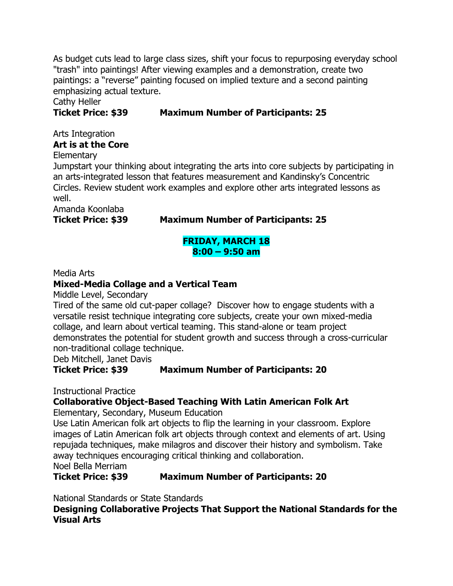As budget cuts lead to large class sizes, shift your focus to repurposing everyday school "trash" into paintings! After viewing examples and a demonstration, create two paintings: a "reverse" painting focused on implied texture and a second painting emphasizing actual texture.

Cathy Heller

# **Ticket Price: \$39 Maximum Number of Participants: 25**

# Arts Integration **Art is at the Core**

**Elementary** 

Jumpstart your thinking about integrating the arts into core subjects by participating in an arts-integrated lesson that features measurement and Kandinsky's Concentric Circles. Review student work examples and explore other arts integrated lessons as well.

Amanda Koonlaba

## **Ticket Price: \$39 Maximum Number of Participants: 25**

#### **FRIDAY, MARCH 18 8:00 – 9:50 am**

Media Arts

# **Mixed-Media Collage and a Vertical Team**

Middle Level, Secondary

Tired of the same old cut-paper collage? Discover how to engage students with a versatile resist technique integrating core subjects, create your own mixed-media collage, and learn about vertical teaming. This stand-alone or team project demonstrates the potential for student growth and success through a cross-curricular non-traditional collage technique.

Deb Mitchell, Janet Davis

# **Ticket Price: \$39 Maximum Number of Participants: 20**

Instructional Practice

# **Collaborative Object-Based Teaching With Latin American Folk Art**

Elementary, Secondary, Museum Education

Use Latin American folk art objects to flip the learning in your classroom. Explore images of Latin American folk art objects through context and elements of art. Using repujada techniques, make milagros and discover their history and symbolism. Take away techniques encouraging critical thinking and collaboration.

Noel Bella Merriam

## **Ticket Price: \$39 Maximum Number of Participants: 20**

National Standards or State Standards

**Designing Collaborative Projects That Support the National Standards for the Visual Arts**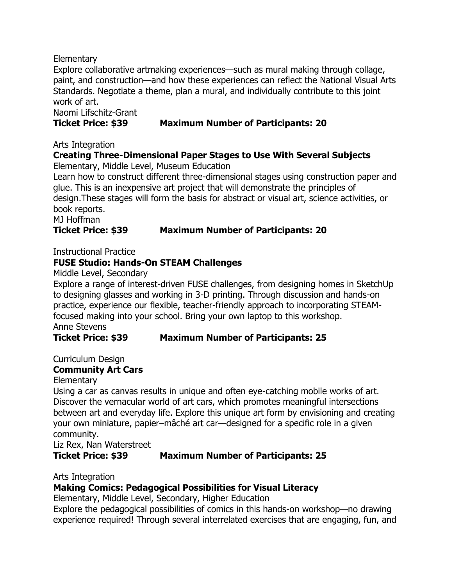**Elementary** 

Explore collaborative artmaking experiences—such as mural making through collage, paint, and construction—and how these experiences can reflect the National Visual Arts Standards. Negotiate a theme, plan a mural, and individually contribute to this joint work of art.

Naomi Lifschitz-Grant

# **Ticket Price: \$39 Maximum Number of Participants: 20**

Arts Integration

# **Creating Three-Dimensional Paper Stages to Use With Several Subjects**

Elementary, Middle Level, Museum Education

Learn how to construct different three-dimensional stages using construction paper and glue. This is an inexpensive art project that will demonstrate the principles of design.These stages will form the basis for abstract or visual art, science activities, or book reports.

MJ Hoffman

**Ticket Price: \$39 Maximum Number of Participants: 20**

Instructional Practice

# **FUSE Studio: Hands-On STEAM Challenges**

Middle Level, Secondary

Explore a range of interest-driven FUSE challenges, from designing homes in SketchUp to designing glasses and working in 3-D printing. Through discussion and hands-on practice, experience our flexible, teacher-friendly approach to incorporating STEAMfocused making into your school. Bring your own laptop to this workshop. Anne Stevens

**Ticket Price: \$39 Maximum Number of Participants: 25**

Curriculum Design

# **Community Art Cars**

## **Elementary**

Using a car as canvas results in unique and often eye-catching mobile works of art. Discover the vernacular world of art cars, which promotes meaningful intersections between art and everyday life. Explore this unique art form by envisioning and creating your own miniature, papier–mâché art car—designed for a specific role in a given community.

Liz Rex, Nan Waterstreet

# **Ticket Price: \$39 Maximum Number of Participants: 25**

Arts Integration

# **Making Comics: Pedagogical Possibilities for Visual Literacy**

Elementary, Middle Level, Secondary, Higher Education

Explore the pedagogical possibilities of comics in this hands-on workshop—no drawing experience required! Through several interrelated exercises that are engaging, fun, and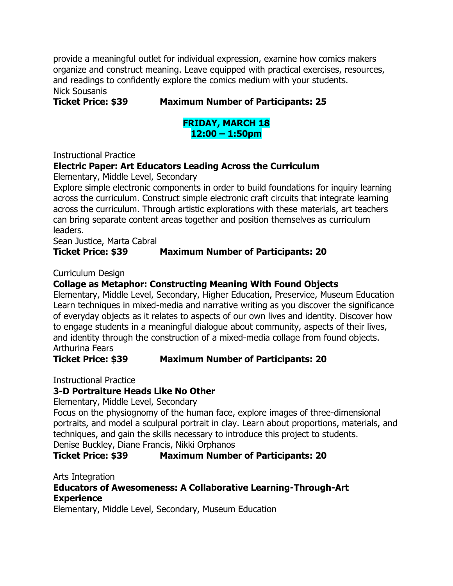provide a meaningful outlet for individual expression, examine how comics makers organize and construct meaning. Leave equipped with practical exercises, resources, and readings to confidently explore the comics medium with your students.

Nick Sousanis

#### **Ticket Price: \$39 Maximum Number of Participants: 25**

# **FRIDAY, MARCH 18 12:00 – 1:50pm**

Instructional Practice

## **Electric Paper: Art Educators Leading Across the Curriculum**

Elementary, Middle Level, Secondary

Explore simple electronic components in order to build foundations for inquiry learning across the curriculum. Construct simple electronic craft circuits that integrate learning across the curriculum. Through artistic explorations with these materials, art teachers can bring separate content areas together and position themselves as curriculum leaders.

Sean Justice, Marta Cabral

## **Ticket Price: \$39 Maximum Number of Participants: 20**

Curriculum Design

#### **Collage as Metaphor: Constructing Meaning With Found Objects**

Elementary, Middle Level, Secondary, Higher Education, Preservice, Museum Education Learn techniques in mixed-media and narrative writing as you discover the significance of everyday objects as it relates to aspects of our own lives and identity. Discover how to engage students in a meaningful dialogue about community, aspects of their lives, and identity through the construction of a mixed-media collage from found objects. Arthurina Fears

#### **Ticket Price: \$39 Maximum Number of Participants: 20**

Instructional Practice

## **3-D Portraiture Heads Like No Other**

Elementary, Middle Level, Secondary

Focus on the physiognomy of the human face, explore images of three-dimensional portraits, and model a sculpural portrait in clay. Learn about proportions, materials, and techniques, and gain the skills necessary to introduce this project to students. Denise Buckley, Diane Francis, Nikki Orphanos

## **Ticket Price: \$39 Maximum Number of Participants: 20**

Arts Integration

## **Educators of Awesomeness: A Collaborative Learning-Through-Art Experience**

Elementary, Middle Level, Secondary, Museum Education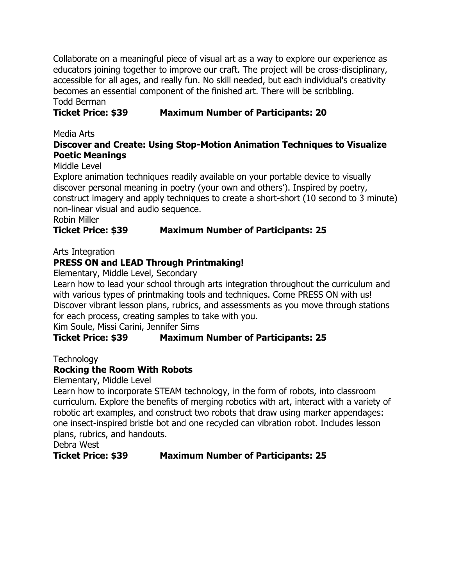Collaborate on a meaningful piece of visual art as a way to explore our experience as educators joining together to improve our craft. The project will be cross-disciplinary, accessible for all ages, and really fun. No skill needed, but each individual's creativity becomes an essential component of the finished art. There will be scribbling. Todd Berman

# **Ticket Price: \$39 Maximum Number of Participants: 20**

Media Arts

## **Discover and Create: Using Stop-Motion Animation Techniques to Visualize Poetic Meanings**

Middle Level

Explore animation techniques readily available on your portable device to visually discover personal meaning in poetry (your own and others'). Inspired by poetry, construct imagery and apply techniques to create a short-short (10 second to 3 minute) non-linear visual and audio sequence.

Robin Miller

## **Ticket Price: \$39 Maximum Number of Participants: 25**

Arts Integration

# **PRESS ON and LEAD Through Printmaking!**

Elementary, Middle Level, Secondary

Learn how to lead your school through arts integration throughout the curriculum and with various types of printmaking tools and techniques. Come PRESS ON with us! Discover vibrant lesson plans, rubrics, and assessments as you move through stations for each process, creating samples to take with you.

Kim Soule, Missi Carini, Jennifer Sims

# **Ticket Price: \$39 Maximum Number of Participants: 25**

**Technology** 

# **Rocking the Room With Robots**

Elementary, Middle Level

Learn how to incorporate STEAM technology, in the form of robots, into classroom curriculum. Explore the benefits of merging robotics with art, interact with a variety of robotic art examples, and construct two robots that draw using marker appendages: one insect-inspired bristle bot and one recycled can vibration robot. Includes lesson plans, rubrics, and handouts.

Debra West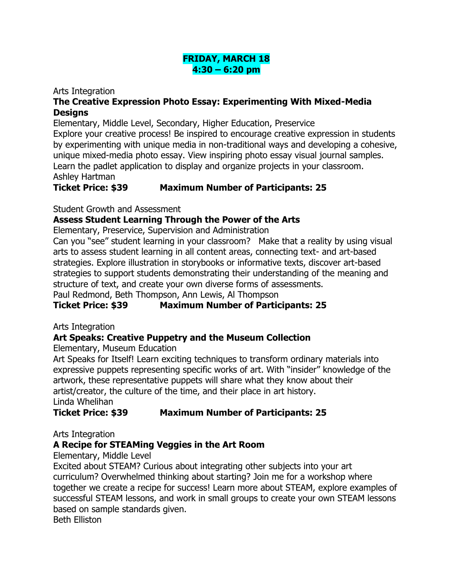## **FRIDAY, MARCH 18 4:30 – 6:20 pm**

#### Arts Integration

# **The Creative Expression Photo Essay: Experimenting With Mixed-Media Designs**

Elementary, Middle Level, Secondary, Higher Education, Preservice

Explore your creative process! Be inspired to encourage creative expression in students by experimenting with unique media in non-traditional ways and developing a cohesive, unique mixed-media photo essay. View inspiring photo essay visual journal samples. Learn the padlet application to display and organize projects in your classroom. Ashley Hartman

**Ticket Price: \$39 Maximum Number of Participants: 25**

Student Growth and Assessment

# **Assess Student Learning Through the Power of the Arts**

Elementary, Preservice, Supervision and Administration

Can you "see" student learning in your classroom? Make that a reality by using visual arts to assess student learning in all content areas, connecting text- and art-based strategies. Explore illustration in storybooks or informative texts, discover art-based strategies to support students demonstrating their understanding of the meaning and structure of text, and create your own diverse forms of assessments.

Paul Redmond, Beth Thompson, Ann Lewis, Al Thompson

# **Ticket Price: \$39 Maximum Number of Participants: 25**

Arts Integration

# **Art Speaks: Creative Puppetry and the Museum Collection**

Elementary, Museum Education

Art Speaks for Itself! Learn exciting techniques to transform ordinary materials into expressive puppets representing specific works of art. With "insider" knowledge of the artwork, these representative puppets will share what they know about their artist/creator, the culture of the time, and their place in art history. Linda Whelihan

**Ticket Price: \$39 Maximum Number of Participants: 25**

Arts Integration

# **A Recipe for STEAMing Veggies in the Art Room**

Elementary, Middle Level

Excited about STEAM? Curious about integrating other subjects into your art curriculum? Overwhelmed thinking about starting? Join me for a workshop where together we create a recipe for success! Learn more about STEAM, explore examples of successful STEAM lessons, and work in small groups to create your own STEAM lessons based on sample standards given.

Beth Elliston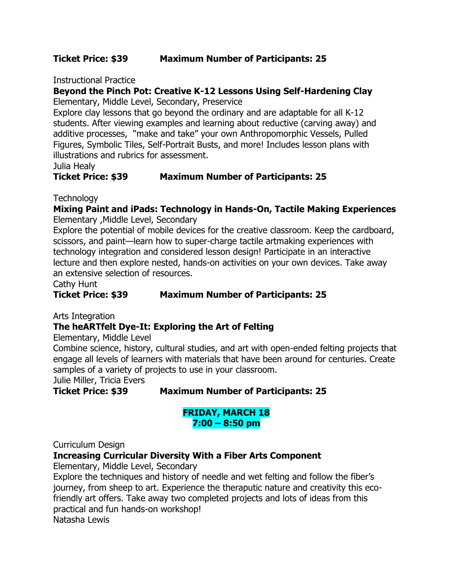#### **Ticket Price: \$39 Maximum Number of Participants: 25**

Instructional Practice

# **Beyond the Pinch Pot: Creative K-12 Lessons Using Self-Hardening Clay**

Elementary, Middle Level, Secondary, Preservice

Explore clay lessons that go beyond the ordinary and are adaptable for all K-12 students. After viewing examples and learning about reductive (carving away) and additive processes, "make and take" your own Anthropomorphic Vessels, Pulled Figures, Symbolic Tiles, Self-Portrait Busts, and more! Includes lesson plans with illustrations and rubrics for assessment.

Julia Healy

## **Ticket Price: \$39 Maximum Number of Participants: 25**

**Technology** 

#### **Mixing Paint and iPads: Technology in Hands-On, Tactile Making Experiences** Elementary ,Middle Level, Secondary

Explore the potential of mobile devices for the creative classroom. Keep the cardboard, scissors, and paint—learn how to super-charge tactile artmaking experiences with technology integration and considered lesson design! Participate in an interactive lecture and then explore nested, hands-on activities on your own devices. Take away an extensive selection of resources.

Cathy Hunt

**Ticket Price: \$39 Maximum Number of Participants: 25**

Arts Integration

## **The heARTfelt Dye-It: Exploring the Art of Felting**

Elementary, Middle Level

Combine science, history, cultural studies, and art with open-ended felting projects that engage all levels of learners with materials that have been around for centuries. Create samples of a variety of projects to use in your classroom.

Julie Miller, Tricia Evers

**Ticket Price: \$39 Maximum Number of Participants: 25**

#### **FRIDAY, MARCH 18 7:00 – 8:50 pm**

Curriculum Design

## **Increasing Curricular Diversity With a Fiber Arts Component**

Elementary, Middle Level, Secondary

Explore the techniques and history of needle and wet felting and follow the fiber's journey, from sheep to art. Experience the theraputic nature and creativity this ecofriendly art offers. Take away two completed projects and lots of ideas from this practical and fun hands-on workshop! Natasha Lewis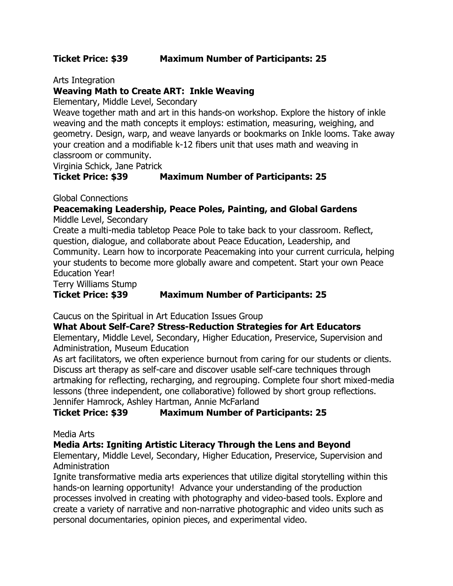Arts Integration

# **Weaving Math to Create ART: Inkle Weaving**

Elementary, Middle Level, Secondary

Weave together math and art in this hands-on workshop. Explore the history of inkle weaving and the math concepts it employs: estimation, measuring, weighing, and geometry. Design, warp, and weave lanyards or bookmarks on Inkle looms. Take away your creation and a modifiable k-12 fibers unit that uses math and weaving in classroom or community.

Virginia Schick, Jane Patrick

# **Ticket Price: \$39 Maximum Number of Participants: 25**

Global Connections

# **Peacemaking Leadership, Peace Poles, Painting, and Global Gardens**

Middle Level, Secondary

Create a multi-media tabletop Peace Pole to take back to your classroom. Reflect, question, dialogue, and collaborate about Peace Education, Leadership, and Community. Learn how to incorporate Peacemaking into your current curricula, helping your students to become more globally aware and competent. Start your own Peace Education Year!

Terry Williams Stump

# **Ticket Price: \$39 Maximum Number of Participants: 25**

Caucus on the Spiritual in Art Education Issues Group

# **What About Self-Care? Stress-Reduction Strategies for Art Educators**

Elementary, Middle Level, Secondary, Higher Education, Preservice, Supervision and Administration, Museum Education

As art facilitators, we often experience burnout from caring for our students or clients. Discuss art therapy as self-care and discover usable self-care techniques through artmaking for reflecting, recharging, and regrouping. Complete four short mixed-media lessons (three independent, one collaborative) followed by short group reflections. Jennifer Hamrock, Ashley Hartman, Annie McFarland

# **Ticket Price: \$39 Maximum Number of Participants: 25**

Media Arts

## **Media Arts: Igniting Artistic Literacy Through the Lens and Beyond**

Elementary, Middle Level, Secondary, Higher Education, Preservice, Supervision and Administration

Ignite transformative media arts experiences that utilize digital storytelling within this hands-on learning opportunity! Advance your understanding of the production processes involved in creating with photography and video-based tools. Explore and create a variety of narrative and non-narrative photographic and video units such as personal documentaries, opinion pieces, and experimental video.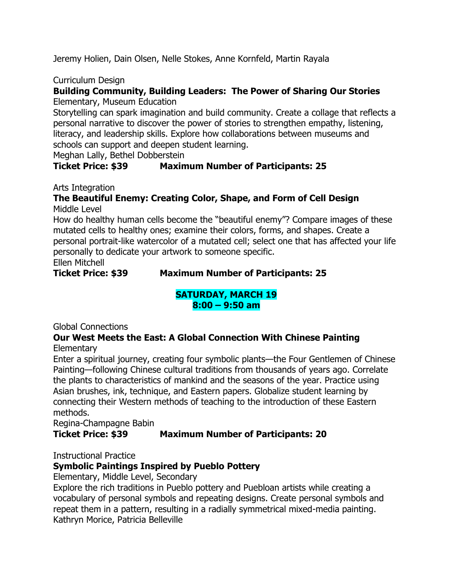Jeremy Holien, Dain Olsen, Nelle Stokes, Anne Kornfeld, Martin Rayala

#### Curriculum Design

# **Building Community, Building Leaders: The Power of Sharing Our Stories**

Elementary, Museum Education

Storytelling can spark imagination and build community. Create a collage that reflects a personal narrative to discover the power of stories to strengthen empathy, listening, literacy, and leadership skills. Explore how collaborations between museums and schools can support and deepen student learning.

Meghan Lally, Bethel Dobberstein

## **Ticket Price: \$39 Maximum Number of Participants: 25**

Arts Integration

#### **The Beautiful Enemy: Creating Color, Shape, and Form of Cell Design** Middle Level

How do healthy human cells become the "beautiful enemy"? Compare images of these mutated cells to healthy ones; examine their colors, forms, and shapes. Create a personal portrait-like watercolor of a mutated cell; select one that has affected your life personally to dedicate your artwork to someone specific.

Ellen Mitchell

**Ticket Price: \$39 Maximum Number of Participants: 25**

# **SATURDAY, MARCH 19 8:00 – 9:50 am**

Global Connections

#### **Our West Meets the East: A Global Connection With Chinese Painting Elementary**

Enter a spiritual journey, creating four symbolic plants—the Four Gentlemen of Chinese Painting—following Chinese cultural traditions from thousands of years ago. Correlate the plants to characteristics of mankind and the seasons of the year. Practice using Asian brushes, ink, technique, and Eastern papers. Globalize student learning by connecting their Western methods of teaching to the introduction of these Eastern methods.

Regina-Champagne Babin

## **Ticket Price: \$39 Maximum Number of Participants: 20**

Instructional Practice

## **Symbolic Paintings Inspired by Pueblo Pottery**

Elementary, Middle Level, Secondary

Explore the rich traditions in Pueblo pottery and Puebloan artists while creating a vocabulary of personal symbols and repeating designs. Create personal symbols and repeat them in a pattern, resulting in a radially symmetrical mixed-media painting. Kathryn Morice, Patricia Belleville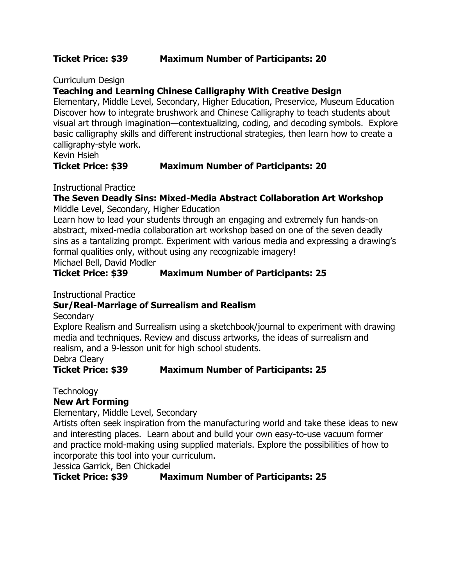#### **Ticket Price: \$39 Maximum Number of Participants: 20**

Curriculum Design

# **Teaching and Learning Chinese Calligraphy With Creative Design**

Elementary, Middle Level, Secondary, Higher Education, Preservice, Museum Education Discover how to integrate brushwork and Chinese Calligraphy to teach students about visual art through imagination—contextualizing, coding, and decoding symbols. Explore basic calligraphy skills and different instructional strategies, then learn how to create a calligraphy-style work.

# Kevin Hsieh

#### **Ticket Price: \$39 Maximum Number of Participants: 20**

Instructional Practice

# **The Seven Deadly Sins: Mixed-Media Abstract Collaboration Art Workshop**

Middle Level, Secondary, Higher Education

Learn how to lead your students through an engaging and extremely fun hands-on abstract, mixed-media collaboration art workshop based on one of the seven deadly sins as a tantalizing prompt. Experiment with various media and expressing a drawing's formal qualities only, without using any recognizable imagery!

Michael Bell, David Modler

## **Ticket Price: \$39 Maximum Number of Participants: 25**

Instructional Practice

## **Sur/Real-Marriage of Surrealism and Realism**

**Secondary** 

Explore Realism and Surrealism using a sketchbook/journal to experiment with drawing media and techniques. Review and discuss artworks, the ideas of surrealism and realism, and a 9-lesson unit for high school students.

Debra Cleary

## **Ticket Price: \$39 Maximum Number of Participants: 25**

**Technology** 

## **New Art Forming**

Elementary, Middle Level, Secondary

Artists often seek inspiration from the manufacturing world and take these ideas to new and interesting places. Learn about and build your own easy-to-use vacuum former and practice mold-making using supplied materials. Explore the possibilities of how to incorporate this tool into your curriculum.

Jessica Garrick, Ben Chickadel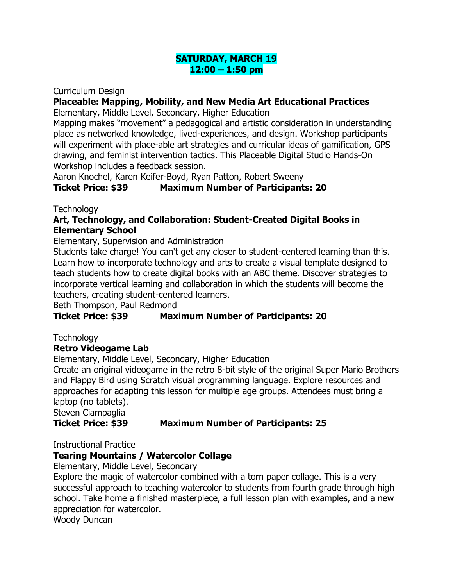#### **SATURDAY, MARCH 19 12:00 – 1:50 pm**

Curriculum Design

# **Placeable: Mapping, Mobility, and New Media Art Educational Practices**

Elementary, Middle Level, Secondary, Higher Education

Mapping makes "movement" a pedagogical and artistic consideration in understanding place as networked knowledge, lived-experiences, and design. Workshop participants will experiment with place-able art strategies and curricular ideas of gamification, GPS drawing, and feminist intervention tactics. This Placeable Digital Studio Hands-On Workshop includes a feedback session.

Aaron Knochel, Karen Keifer-Boyd, Ryan Patton, Robert Sweeny

# **Ticket Price: \$39 Maximum Number of Participants: 20**

**Technology** 

## **Art, Technology, and Collaboration: Student-Created Digital Books in Elementary School**

Elementary, Supervision and Administration

Students take charge! You can't get any closer to student-centered learning than this. Learn how to incorporate technology and arts to create a visual template designed to teach students how to create digital books with an ABC theme. Discover strategies to incorporate vertical learning and collaboration in which the students will become the teachers, creating student-centered learners.

Beth Thompson, Paul Redmond

# **Ticket Price: \$39 Maximum Number of Participants: 20**

**Technology** 

## **Retro Videogame Lab**

Elementary, Middle Level, Secondary, Higher Education

Create an original videogame in the retro 8-bit style of the original Super Mario Brothers and Flappy Bird using Scratch visual programming language. Explore resources and approaches for adapting this lesson for multiple age groups. Attendees must bring a laptop (no tablets).

Steven Ciampaglia

## **Ticket Price: \$39 Maximum Number of Participants: 25**

## Instructional Practice

# **Tearing Mountains / Watercolor Collage**

Elementary, Middle Level, Secondary

Explore the magic of watercolor combined with a torn paper collage. This is a very successful approach to teaching watercolor to students from fourth grade through high school. Take home a finished masterpiece, a full lesson plan with examples, and a new appreciation for watercolor.

Woody Duncan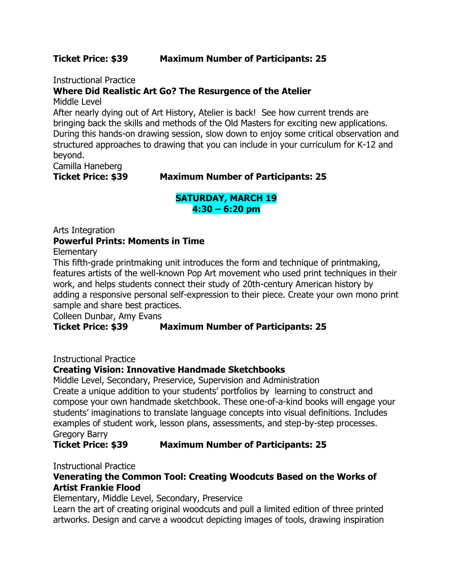#### **Ticket Price: \$39 Maximum Number of Participants: 25**

Instructional Practice

# **Where Did Realistic Art Go? The Resurgence of the Atelier**

Middle Level

After nearly dying out of Art History, Atelier is back! See how current trends are bringing back the skills and methods of the Old Masters for exciting new applications. During this hands-on drawing session, slow down to enjoy some critical observation and structured approaches to drawing that you can include in your curriculum for K-12 and beyond.

Camilla Haneberg

#### **Ticket Price: \$39 Maximum Number of Participants: 25**

#### **SATURDAY, MARCH 19 4:30 – 6:20 pm**

# Arts Integration **Powerful Prints: Moments in Time**

**Elementary** 

This fifth-grade printmaking unit introduces the form and technique of printmaking, features artists of the well-known Pop Art movement who used print techniques in their work, and helps students connect their study of 20th-century American history by adding a responsive personal self-expression to their piece. Create your own mono print sample and share best practices.

Colleen Dunbar, Amy Evans

## **Ticket Price: \$39 Maximum Number of Participants: 25**

Instructional Practice

## **Creating Vision: Innovative Handmade Sketchbooks**

Middle Level, Secondary, Preservice, Supervision and Administration Create a unique addition to your students' portfolios by learning to construct and compose your own handmade sketchbook. These one-of-a-kind books will engage your students' imaginations to translate language concepts into visual definitions. Includes examples of student work, lesson plans, assessments, and step-by-step processes. Gregory Barry

**Ticket Price: \$39 Maximum Number of Participants: 25**

Instructional Practice

#### **Venerating the Common Tool: Creating Woodcuts Based on the Works of Artist Frankie Flood**

Elementary, Middle Level, Secondary, Preservice

Learn the art of creating original woodcuts and pull a limited edition of three printed artworks. Design and carve a woodcut depicting images of tools, drawing inspiration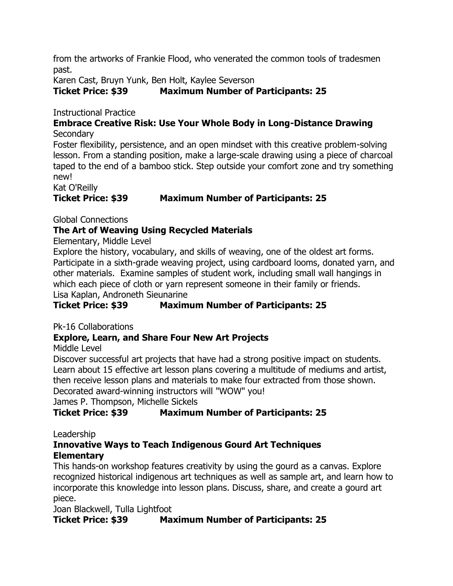from the artworks of Frankie Flood, who venerated the common tools of tradesmen past.

Karen Cast, Bruyn Yunk, Ben Holt, Kaylee Severson

# **Ticket Price: \$39 Maximum Number of Participants: 25**

Instructional Practice

#### **Embrace Creative Risk: Use Your Whole Body in Long-Distance Drawing Secondary**

Foster flexibility, persistence, and an open mindset with this creative problem-solving lesson. From a standing position, make a large-scale drawing using a piece of charcoal taped to the end of a bamboo stick. Step outside your comfort zone and try something new!

Kat O'Reilly

# **Ticket Price: \$39 Maximum Number of Participants: 25**

Global Connections

## **The Art of Weaving Using Recycled Materials**

Elementary, Middle Level

Explore the history, vocabulary, and skills of weaving, one of the oldest art forms. Participate in a sixth-grade weaving project, using cardboard looms, donated yarn, and other materials. Examine samples of student work, including small wall hangings in which each piece of cloth or yarn represent someone in their family or friends. Lisa Kaplan, Androneth Sieunarine

**Ticket Price: \$39 Maximum Number of Participants: 25**

Pk-16 Collaborations

# **Explore, Learn, and Share Four New Art Projects**

Middle Level

Discover successful art projects that have had a strong positive impact on students. Learn about 15 effective art lesson plans covering a multitude of mediums and artist, then receive lesson plans and materials to make four extracted from those shown. Decorated award-winning instructors will "WOW" you!

James P. Thompson, Michelle Sickels

# **Ticket Price: \$39 Maximum Number of Participants: 25**

Leadership

# **Innovative Ways to Teach Indigenous Gourd Art Techniques Elementary**

This hands-on workshop features creativity by using the gourd as a canvas. Explore recognized historical indigenous art techniques as well as sample art, and learn how to incorporate this knowledge into lesson plans. Discuss, share, and create a gourd art piece.

Joan Blackwell, Tulla Lightfoot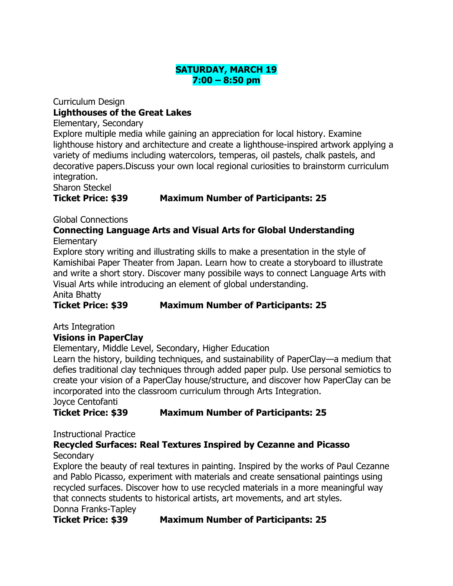# **SATURDAY, MARCH 19 7:00 – 8:50 pm**

Curriculum Design **Lighthouses of the Great Lakes** Elementary, Secondary

Explore multiple media while gaining an appreciation for local history. Examine lighthouse history and architecture and create a lighthouse-inspired artwork applying a variety of mediums including watercolors, temperas, oil pastels, chalk pastels, and decorative papers.Discuss your own local regional curiosities to brainstorm curriculum integration.

Sharon Steckel

## **Ticket Price: \$39 Maximum Number of Participants: 25**

## Global Connections

#### **Connecting Language Arts and Visual Arts for Global Understanding Elementary**

Explore story writing and illustrating skills to make a presentation in the style of Kamishibai Paper Theater from Japan. Learn how to create a storyboard to illustrate and write a short story. Discover many possibile ways to connect Language Arts with Visual Arts while introducing an element of global understanding.

Anita Bhatty

**Ticket Price: \$39 Maximum Number of Participants: 25**

Arts Integration

# **Visions in PaperClay**

Elementary, Middle Level, Secondary, Higher Education

Learn the history, building techniques, and sustainability of PaperClay—a medium that defies traditional clay techniques through added paper pulp. Use personal semiotics to create your vision of a PaperClay house/structure, and discover how PaperClay can be incorporated into the classroom curriculum through Arts Integration. Joyce Centofanti

# **Ticket Price: \$39 Maximum Number of Participants: 25**

Instructional Practice

# **Recycled Surfaces: Real Textures Inspired by Cezanne and Picasso**

## **Secondary**

Explore the beauty of real textures in painting. Inspired by the works of Paul Cezanne and Pablo Picasso, experiment with materials and create sensational paintings using recycled surfaces. Discover how to use recycled materials in a more meaningful way that connects students to historical artists, art movements, and art styles. Donna Franks-Tapley